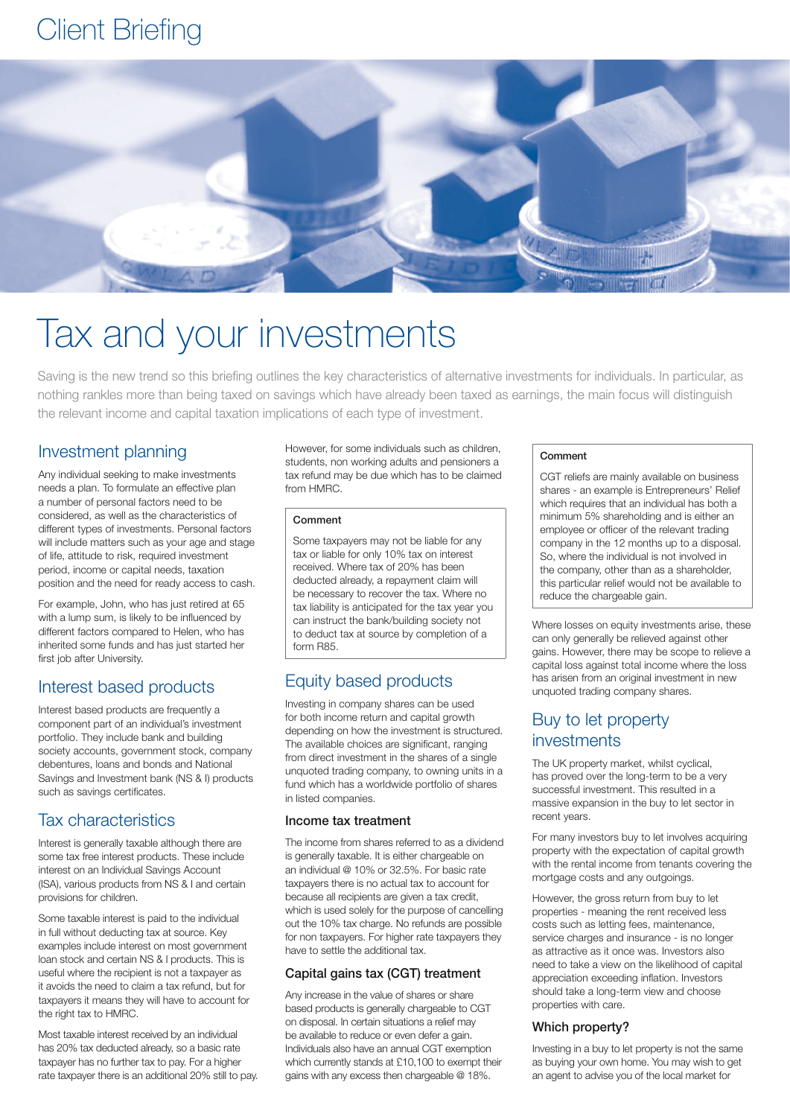## Client Briefing



# Tax and your investments

Saving is the new trend so this briefing outlines the key characteristics of alternative investments for individuals. In particular, as nothing rankles more than being taxed on savings which have already been taxed as earnings, the main focus will distinguish the relevant income and capital taxation implications of each type of investment.

## Investment planning

Any individual seeking to make investments needs a plan. To formulate an effective plan a number of personal factors need to be considered, as well as the characteristics of different types of investments. Personal factors will include matters such as your age and stage of life, attitude to risk, required investment period, income or capital needs, taxation position and the need for ready access to cash.

For example, John, who has just retired at 65 with a lump sum, is likely to be influenced by different factors compared to Helen, who has inherited some funds and has just started her first job after University.

## Interest based products

Interest based products are frequently a component part of an individual's investment portfolio. They include bank and building society accounts, government stock, company debentures, loans and bonds and National Savings and Investment bank (NS & I) products such as savings certificates.

## Tax characteristics

Interest is generally taxable although there are some tax free interest products. These include interest on an Individual Savings Account (ISA), various products from NS & I and certain provisions for children.

Some taxable interest is paid to the individual in full without deducting tax at source. Key examples include interest on most government loan stock and certain NS & I products. This is useful where the recipient is not a taxpayer as it avoids the need to claim a tax refund, but for taxpayers it means they will have to account for the right tax to HMRC.

Most taxable interest received by an individual has 20% tax deducted already, so a basic rate taxpayer has no further tax to pay. For a higher rate taxpayer there is an additional 20% still to pay. However, for some individuals such as children, students, non working adults and pensioners a tax refund may be due which has to be claimed from HMRC.

#### Comment

Some taxpayers may not be liable for any tax or liable for only 10% tax on interest received. Where tax of 20% has been deducted already, a repayment claim will be necessary to recover the tax. Where no tax liability is anticipated for the tax year you can instruct the bank/building society not to deduct tax at source by completion of a form R85.

## Equity based products

Investing in company shares can be used for both income return and capital growth depending on how the investment is structured. The available choices are significant, ranging from direct investment in the shares of a single unquoted trading company, to owning units in a fund which has a worldwide portfolio of shares in listed companies.

#### Income tax treatment

The income from shares referred to as a dividend is generally taxable. It is either chargeable on an individual @ 10% or 32.5%. For basic rate taxpayers there is no actual tax to account for because all recipients are given a tax credit, which is used solely for the purpose of cancelling out the 10% tax charge. No refunds are possible for non taxpayers. For higher rate taxpayers they have to settle the additional tax.

#### Capital gains tax (CGT) treatment

Any increase in the value of shares or share based products is generally chargeable to CGT on disposal. In certain situations a relief may be available to reduce or even defer a gain. Individuals also have an annual CGT exemption which currently stands at £10,100 to exempt their gains with any excess then chargeable @ 18%.

#### Comment

CGT reliefs are mainly available on business shares - an example is Entrepreneurs' Relief which requires that an individual has both a minimum 5% shareholding and is either an employee or officer of the relevant trading company in the 12 months up to a disposal. So, where the individual is not involved in the company, other than as a shareholder, this particular relief would not be available to reduce the chargeable gain.

Where losses on equity investments arise, these can only generally be relieved against other gains. However, there may be scope to relieve a capital loss against total income where the loss has arisen from an original investment in new unquoted trading company shares.

## Buy to let property investments

The UK property market, whilst cyclical, has proved over the long-term to be a very successful investment. This resulted in a massive expansion in the buy to let sector in recent years.

For many investors buy to let involves acquiring property with the expectation of capital growth with the rental income from tenants covering the mortgage costs and any outgoings.

However, the gross return from buy to let properties - meaning the rent received less costs such as letting fees, maintenance, service charges and insurance - is no longer as attractive as it once was. Investors also need to take a view on the likelihood of capital appreciation exceeding inflation. Investors should take a long-term view and choose properties with care.

#### Which property?

Investing in a buy to let property is not the same as buying your own home. You may wish to get an agent to advise you of the local market for